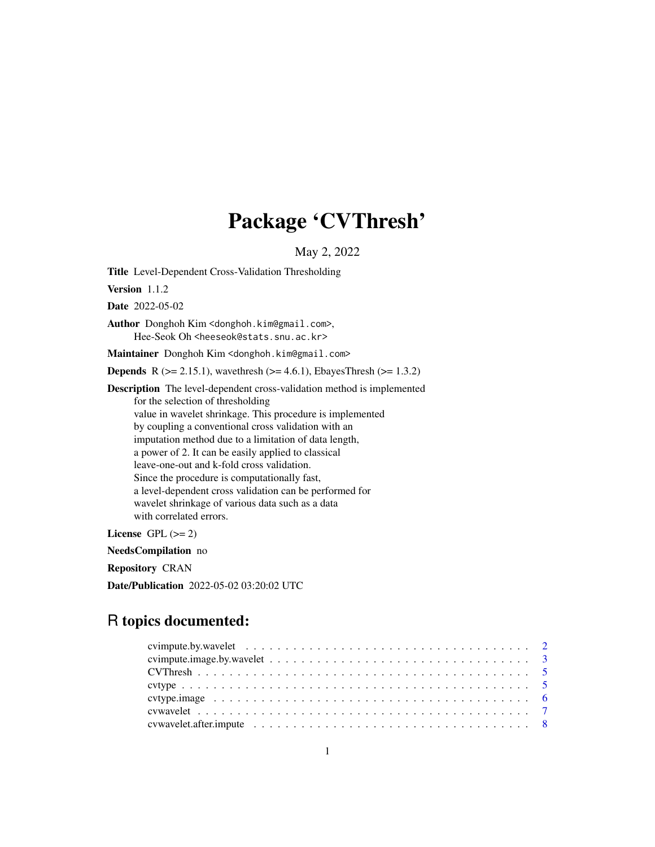# Package 'CVThresh'

May 2, 2022

Title Level-Dependent Cross-Validation Thresholding

Version 1.1.2

Date 2022-05-02

Author Donghoh Kim <donghoh.kim@gmail.com>, Hee-Seok Oh <heeseok@stats.snu.ac.kr>

Maintainer Donghoh Kim <donghoh.kim@gmail.com>

**Depends** R ( $>= 2.15.1$ ), wavethresh ( $>= 4.6.1$ ), EbayesThresh ( $>= 1.3.2$ )

Description The level-dependent cross-validation method is implemented for the selection of thresholding value in wavelet shrinkage. This procedure is implemented by coupling a conventional cross validation with an imputation method due to a limitation of data length, a power of 2. It can be easily applied to classical leave-one-out and k-fold cross validation. Since the procedure is computationally fast, a level-dependent cross validation can be performed for wavelet shrinkage of various data such as a data with correlated errors.

License GPL  $(>= 2)$ 

NeedsCompilation no

Repository CRAN

Date/Publication 2022-05-02 03:20:02 UTC

# R topics documented: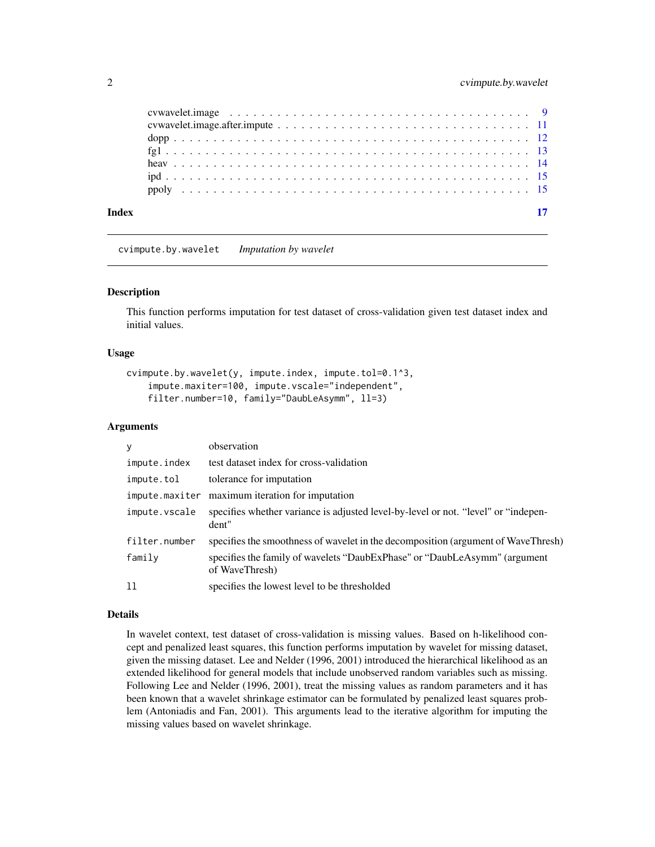<span id="page-1-0"></span>

<span id="page-1-1"></span>cvimpute.by.wavelet *Imputation by wavelet*

#### Description

This function performs imputation for test dataset of cross-validation given test dataset index and initial values.

### Usage

```
cvimpute.by.wavelet(y, impute.index, impute.tol=0.1^3,
    impute.maxiter=100, impute.vscale="independent",
    filter.number=10, family="DaubLeAsymm", ll=3)
```
#### Arguments

| V             | observation                                                                                 |
|---------------|---------------------------------------------------------------------------------------------|
| impute.index  | test dataset index for cross-validation                                                     |
| impute.tol    | tolerance for imputation                                                                    |
|               | impute.maxiter maximum iteration for imputation                                             |
| impute.vscale | specifies whether variance is adjusted level-by-level or not. "level" or "indepen-<br>dent" |
| filter.number | specifies the smoothness of wavelet in the decomposition (argument of WaveThresh)           |
| family        | specifies the family of wavelets "DaubExPhase" or "DaubLeAsymm" (argument<br>of WaveThresh) |
| 11            | specifies the lowest level to be thresholded                                                |

#### Details

In wavelet context, test dataset of cross-validation is missing values. Based on h-likelihood concept and penalized least squares, this function performs imputation by wavelet for missing dataset, given the missing dataset. Lee and Nelder (1996, 2001) introduced the hierarchical likelihood as an extended likelihood for general models that include unobserved random variables such as missing. Following Lee and Nelder (1996, 2001), treat the missing values as random parameters and it has been known that a wavelet shrinkage estimator can be formulated by penalized least squares problem (Antoniadis and Fan, 2001). This arguments lead to the iterative algorithm for imputing the missing values based on wavelet shrinkage.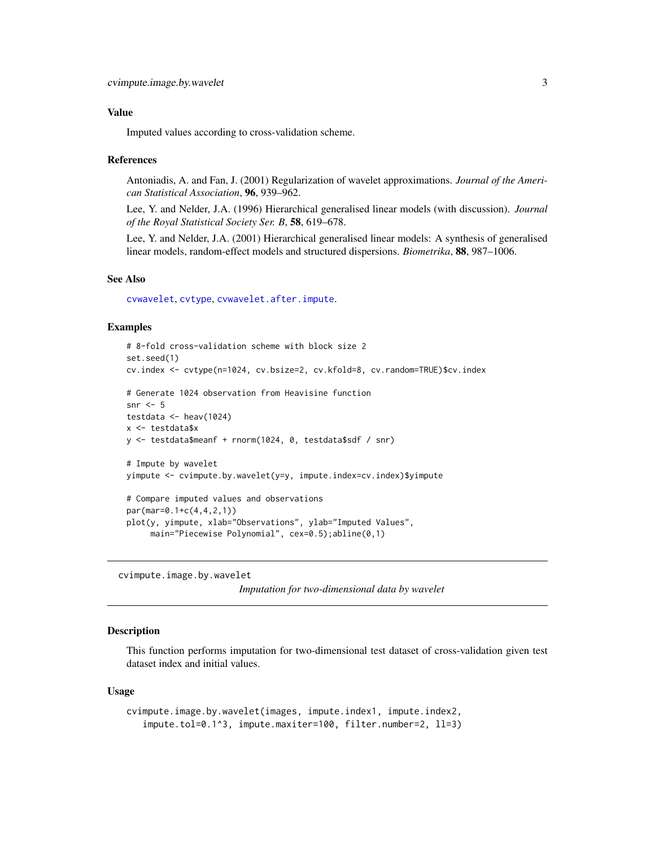### <span id="page-2-0"></span>Value

Imputed values according to cross-validation scheme.

#### References

Antoniadis, A. and Fan, J. (2001) Regularization of wavelet approximations. *Journal of the American Statistical Association*, 96, 939–962.

Lee, Y. and Nelder, J.A. (1996) Hierarchical generalised linear models (with discussion). *Journal of the Royal Statistical Society Ser. B*, 58, 619–678.

Lee, Y. and Nelder, J.A. (2001) Hierarchical generalised linear models: A synthesis of generalised linear models, random-effect models and structured dispersions. *Biometrika*, 88, 987–1006.

# See Also

[cvwavelet](#page-6-1), [cvtype](#page-4-1), [cvwavelet.after.impute](#page-7-1).

#### Examples

```
# 8-fold cross-validation scheme with block size 2
set.seed(1)
cv.index <- cvtype(n=1024, cv.bsize=2, cv.kfold=8, cv.random=TRUE)$cv.index
# Generate 1024 observation from Heavisine function
snr \leq -5testdata <- heav(1024)
x <- testdata$x
y <- testdata$meanf + rnorm(1024, 0, testdata$sdf / snr)
# Impute by wavelet
yimpute <- cvimpute.by.wavelet(y=y, impute.index=cv.index)$yimpute
# Compare imputed values and observations
par(mar=0.1+c(4,4,2,1))
plot(y, yimpute, xlab="Observations", ylab="Imputed Values",
     main="Piecewise Polynomial", cex=0.5);abline(0,1)
```
<span id="page-2-1"></span>cvimpute.image.by.wavelet

```
Imputation for two-dimensional data by wavelet
```
#### Description

This function performs imputation for two-dimensional test dataset of cross-validation given test dataset index and initial values.

#### Usage

```
cvimpute.image.by.wavelet(images, impute.index1, impute.index2,
   impute.tol=0.1^3, impute.maxiter=100, filter.number=2, ll=3)
```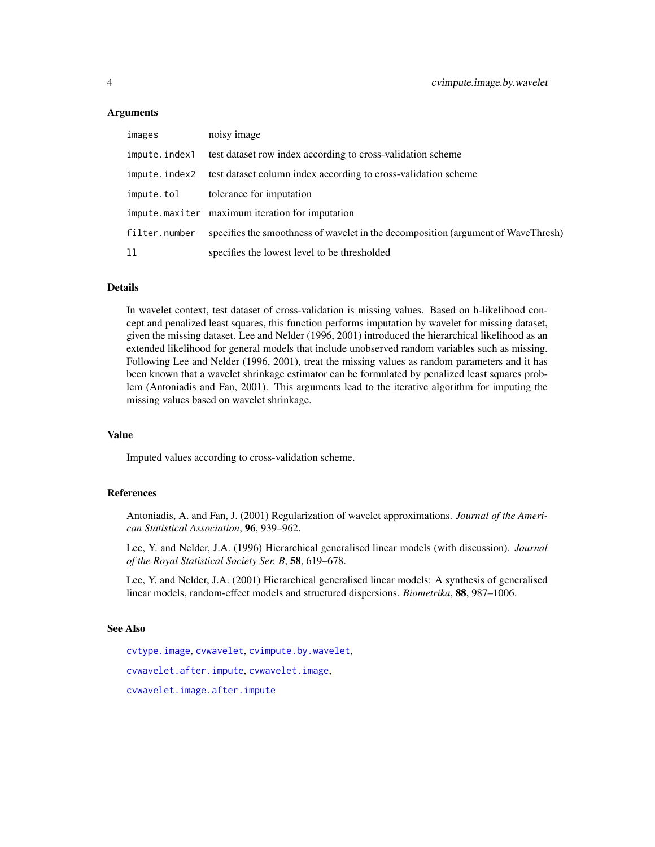#### Arguments

| images        | noisy image                                                                       |
|---------------|-----------------------------------------------------------------------------------|
| impute.index1 | test dataset row index according to cross-validation scheme                       |
|               | impute.index2 test dataset column index according to cross-validation scheme      |
| impute.tol    | tolerance for imputation                                                          |
|               | impute.maxiter maximum iteration for imputation                                   |
| filter.number | specifies the smoothness of wavelet in the decomposition (argument of WaveThresh) |
| 11            | specifies the lowest level to be thresholded                                      |

# Details

In wavelet context, test dataset of cross-validation is missing values. Based on h-likelihood concept and penalized least squares, this function performs imputation by wavelet for missing dataset, given the missing dataset. Lee and Nelder (1996, 2001) introduced the hierarchical likelihood as an extended likelihood for general models that include unobserved random variables such as missing. Following Lee and Nelder (1996, 2001), treat the missing values as random parameters and it has been known that a wavelet shrinkage estimator can be formulated by penalized least squares problem (Antoniadis and Fan, 2001). This arguments lead to the iterative algorithm for imputing the missing values based on wavelet shrinkage.

# Value

Imputed values according to cross-validation scheme.

# References

Antoniadis, A. and Fan, J. (2001) Regularization of wavelet approximations. *Journal of the American Statistical Association*, 96, 939–962.

Lee, Y. and Nelder, J.A. (1996) Hierarchical generalised linear models (with discussion). *Journal of the Royal Statistical Society Ser. B*, 58, 619–678.

Lee, Y. and Nelder, J.A. (2001) Hierarchical generalised linear models: A synthesis of generalised linear models, random-effect models and structured dispersions. *Biometrika*, 88, 987–1006.

# See Also

[cvtype.image](#page-5-1), [cvwavelet](#page-6-1), [cvimpute.by.wavelet](#page-1-1), [cvwavelet.after.impute](#page-7-1), [cvwavelet.image](#page-8-1), [cvwavelet.image.after.impute](#page-10-1)

<span id="page-3-0"></span>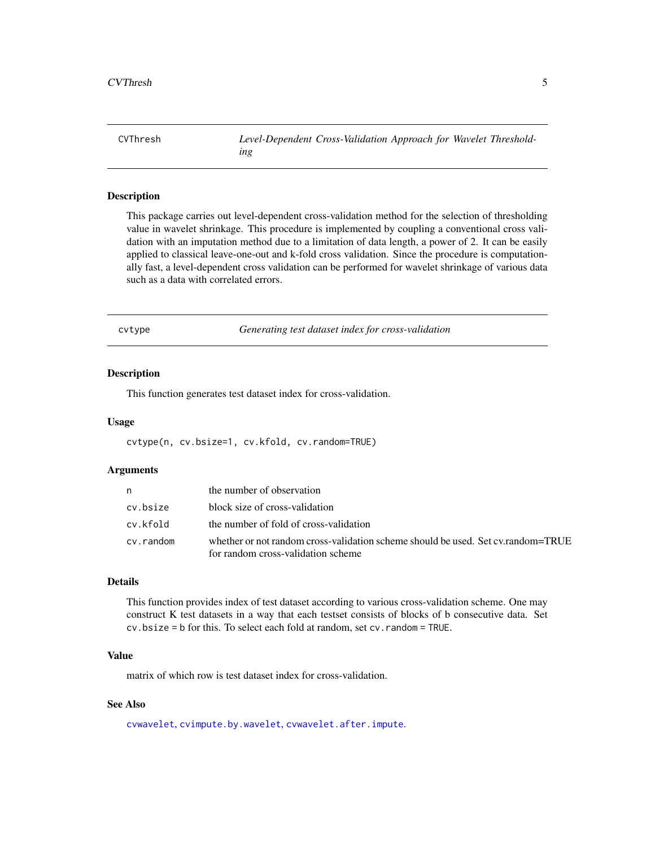<span id="page-4-0"></span>CVThresh *Level-Dependent Cross-Validation Approach for Wavelet Thresholding*

#### Description

This package carries out level-dependent cross-validation method for the selection of thresholding value in wavelet shrinkage. This procedure is implemented by coupling a conventional cross validation with an imputation method due to a limitation of data length, a power of 2. It can be easily applied to classical leave-one-out and k-fold cross validation. Since the procedure is computationally fast, a level-dependent cross validation can be performed for wavelet shrinkage of various data such as a data with correlated errors.

<span id="page-4-1"></span>cvtype *Generating test dataset index for cross-validation*

#### Description

This function generates test dataset index for cross-validation.

#### Usage

cvtype(n, cv.bsize=1, cv.kfold, cv.random=TRUE)

#### Arguments

| n         | the number of observation                                                                                              |
|-----------|------------------------------------------------------------------------------------------------------------------------|
| cv.bsize  | block size of cross-validation                                                                                         |
| cv.kfold  | the number of fold of cross-validation                                                                                 |
| cv.random | whether or not random cross-validation scheme should be used. Set cy.random=TRUE<br>for random cross-validation scheme |

# Details

This function provides index of test dataset according to various cross-validation scheme. One may construct K test datasets in a way that each testset consists of blocks of b consecutive data. Set cv.bsize = b for this. To select each fold at random, set cv.random = TRUE.

# Value

matrix of which row is test dataset index for cross-validation.

# See Also

[cvwavelet](#page-6-1), [cvimpute.by.wavelet](#page-1-1), [cvwavelet.after.impute](#page-7-1).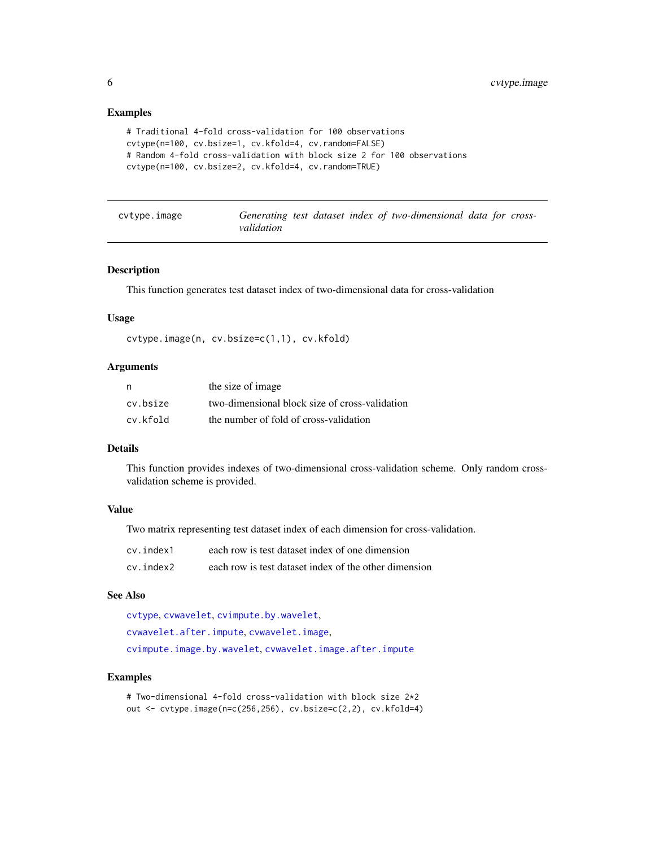## Examples

```
# Traditional 4-fold cross-validation for 100 observations
cvtype(n=100, cv.bsize=1, cv.kfold=4, cv.random=FALSE)
# Random 4-fold cross-validation with block size 2 for 100 observations
cvtype(n=100, cv.bsize=2, cv.kfold=4, cv.random=TRUE)
```
<span id="page-5-1"></span>cvtype.image *Generating test dataset index of two-dimensional data for crossvalidation*

#### Description

This function generates test dataset index of two-dimensional data for cross-validation

#### Usage

cvtype.image(n, cv.bsize=c(1,1), cv.kfold)

#### Arguments

| n        | the size of image.                             |
|----------|------------------------------------------------|
| cv.bsize | two-dimensional block size of cross-validation |
| cv.kfold | the number of fold of cross-validation         |

# Details

This function provides indexes of two-dimensional cross-validation scheme. Only random crossvalidation scheme is provided.

# Value

Two matrix representing test dataset index of each dimension for cross-validation.

| cv.index1 | each row is test dataset index of one dimension       |
|-----------|-------------------------------------------------------|
| cv.index2 | each row is test dataset index of the other dimension |

# See Also

[cvtype](#page-4-1), [cvwavelet](#page-6-1), [cvimpute.by.wavelet](#page-1-1), [cvwavelet.after.impute](#page-7-1), [cvwavelet.image](#page-8-1), [cvimpute.image.by.wavelet](#page-2-1), [cvwavelet.image.after.impute](#page-10-1)

#### Examples

# Two-dimensional 4-fold cross-validation with block size 2\*2 out <- cvtype.image(n=c(256,256), cv.bsize=c(2,2), cv.kfold=4)

<span id="page-5-0"></span>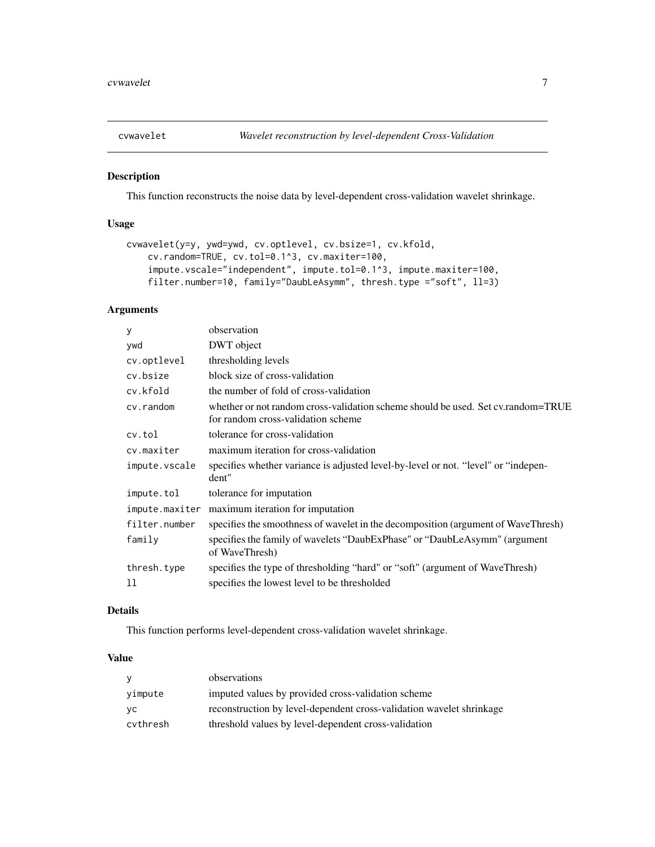<span id="page-6-1"></span><span id="page-6-0"></span>

This function reconstructs the noise data by level-dependent cross-validation wavelet shrinkage.

# Usage

```
cvwavelet(y=y, ywd=ywd, cv.optlevel, cv.bsize=1, cv.kfold,
    cv.random=TRUE, cv.tol=0.1^3, cv.maxiter=100,
    impute.vscale="independent", impute.tol=0.1^3, impute.maxiter=100,
    filter.number=10, family="DaubLeAsymm", thresh.type ="soft", ll=3)
```
# Arguments

| observation                                                                                                            |
|------------------------------------------------------------------------------------------------------------------------|
| DWT object                                                                                                             |
| thresholding levels                                                                                                    |
| block size of cross-validation                                                                                         |
| the number of fold of cross-validation                                                                                 |
| whether or not random cross-validation scheme should be used. Set cy.random=TRUE<br>for random cross-validation scheme |
| tolerance for cross-validation                                                                                         |
| maximum iteration for cross-validation                                                                                 |
| specifies whether variance is adjusted level-by-level or not. "level" or "indepen-<br>dent"                            |
| tolerance for imputation                                                                                               |
| maximum iteration for imputation                                                                                       |
| specifies the smoothness of wavelet in the decomposition (argument of WaveThresh)                                      |
| specifies the family of wavelets "DaubExPhase" or "DaubLeAsymm" (argument<br>of WaveThresh)                            |
| specifies the type of thresholding "hard" or "soft" (argument of WaveThresh)                                           |
| specifies the lowest level to be thresholded                                                                           |
|                                                                                                                        |

# Details

This function performs level-dependent cross-validation wavelet shrinkage.

# Value

| <b>V</b> | observations                                                         |
|----------|----------------------------------------------------------------------|
| vimpute  | imputed values by provided cross-validation scheme                   |
| VC.      | reconstruction by level-dependent cross-validation wavelet shrinkage |
| cvthresh | threshold values by level-dependent cross-validation                 |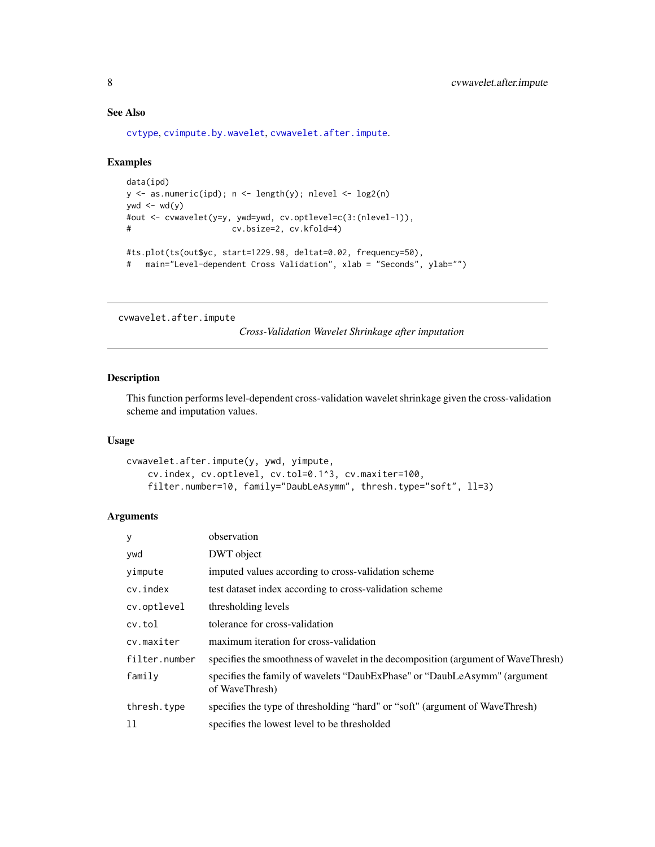# See Also

[cvtype](#page-4-1), [cvimpute.by.wavelet](#page-1-1), [cvwavelet.after.impute](#page-7-1).

# Examples

```
data(ipd)
y <- as.numeric(ipd); n <- length(y); nlevel <- log2(n)
ywd \leftarrow wd(y)
#out <- cvwavelet(y=y, ywd=ywd, cv.optlevel=c(3:(nlevel-1)),
# cv.bsize=2, cv.kfold=4)
#ts.plot(ts(out$yc, start=1229.98, deltat=0.02, frequency=50),
# main="Level-dependent Cross Validation", xlab = "Seconds", ylab="")
```
<span id="page-7-1"></span>cvwavelet.after.impute

*Cross-Validation Wavelet Shrinkage after imputation*

# Description

This function performs level-dependent cross-validation wavelet shrinkage given the cross-validation scheme and imputation values.

# Usage

```
cvwavelet.after.impute(y, ywd, yimpute,
    cv.index, cv.optlevel, cv.tol=0.1^3, cv.maxiter=100,
    filter.number=10, family="DaubLeAsymm", thresh.type="soft", ll=3)
```
# Arguments

| У             | observation                                                                                 |
|---------------|---------------------------------------------------------------------------------------------|
| ywd           | DWT object                                                                                  |
| yimpute       | imputed values according to cross-validation scheme                                         |
| cv.index      | test dataset index according to cross-validation scheme                                     |
| cv.optlevel   | thresholding levels                                                                         |
| cv.tol        | tolerance for cross-validation                                                              |
| cv.maxiter    | maximum iteration for cross-validation                                                      |
| filter.number | specifies the smoothness of wavelet in the decomposition (argument of WaveThresh)           |
| family        | specifies the family of wavelets "DaubExPhase" or "DaubLeAsymm" (argument<br>of WaveThresh) |
| thresh.type   | specifies the type of thresholding "hard" or "soft" (argument of WaveThresh)                |
| 11            | specifies the lowest level to be thresholded                                                |

<span id="page-7-0"></span>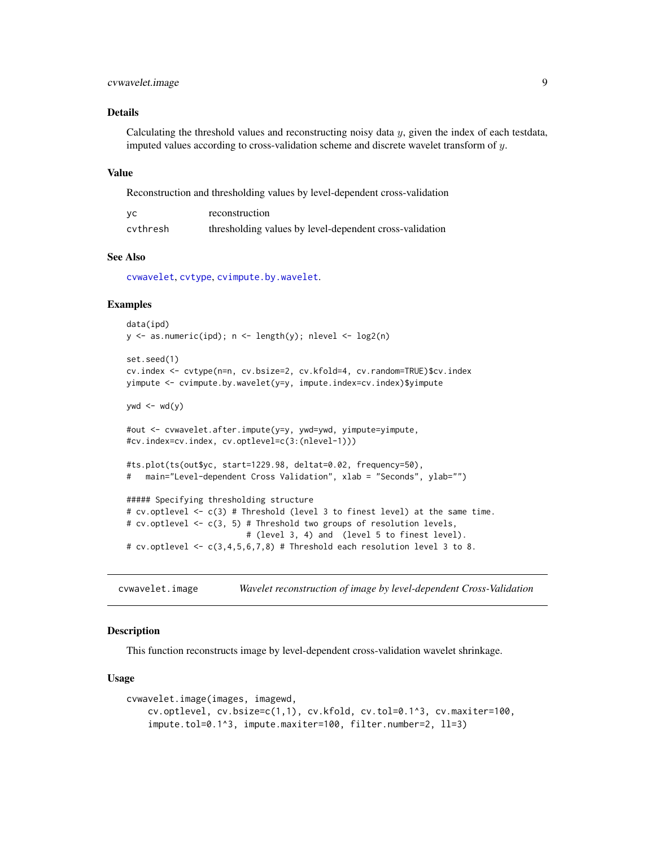# <span id="page-8-0"></span>cvwavelet.image 9

#### Details

Calculating the threshold values and reconstructing noisy data  $y$ , given the index of each testdata, imputed values according to cross-validation scheme and discrete wavelet transform of y.

#### Value

Reconstruction and thresholding values by level-dependent cross-validation

| yc       | reconstruction                                          |
|----------|---------------------------------------------------------|
| cvthresh | thresholding values by level-dependent cross-validation |

# See Also

[cvwavelet](#page-6-1), [cvtype](#page-4-1), [cvimpute.by.wavelet](#page-1-1).

#### Examples

```
data(ipd)
y \le - as.numeric(ipd); n \le -\text{length}(y); nlevel \le -\text{log}(n)
```

```
set.seed(1)
cv.index <- cvtype(n=n, cv.bsize=2, cv.kfold=4, cv.random=TRUE)$cv.index
yimpute <- cvimpute.by.wavelet(y=y, impute.index=cv.index)$yimpute
```
ywd  $\leftarrow$  wd(y)

```
#out <- cvwavelet.after.impute(y=y, ywd=ywd, yimpute=yimpute,
#cv.index=cv.index, cv.optlevel=c(3:(nlevel-1)))
```
#ts.plot(ts(out\$yc, start=1229.98, deltat=0.02, frequency=50), # main="Level-dependent Cross Validation", xlab = "Seconds", ylab="")

```
##### Specifying thresholding structure
# cv.optlevel <- c(3) # Threshold (level 3 to finest level) at the same time.
# cv.optlevel <- c(3, 5) # Threshold two groups of resolution levels,
                         # (level 3, 4) and (level 5 to finest level).
# cv.optlevel <- c(3,4,5,6,7,8) # Threshold each resolution level 3 to 8.
```
<span id="page-8-1"></span>cvwavelet.image *Wavelet reconstruction of image by level-dependent Cross-Validation*

#### **Description**

This function reconstructs image by level-dependent cross-validation wavelet shrinkage.

#### Usage

```
cvwavelet.image(images, imagewd,
    cv.optlevel, cv.bsize=c(1,1), cv.kfold, cv.tol=0.1^3, cv.maxiter=100,
    impute.tol=0.1^3, impute.maxiter=100, filter.number=2, ll=3)
```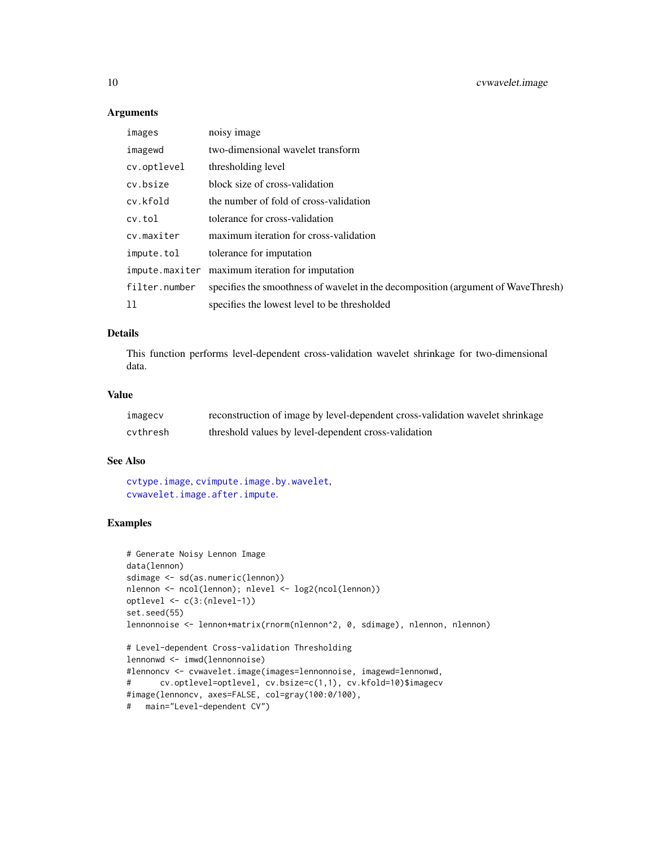# Arguments

| images        | noisy image                                                                       |
|---------------|-----------------------------------------------------------------------------------|
| imagewd       | two-dimensional wavelet transform                                                 |
| cv.optlevel   | thresholding level                                                                |
| cv.bsize      | block size of cross-validation                                                    |
| cv.kfold      | the number of fold of cross-validation                                            |
| cv.tol        | tolerance for cross-validation                                                    |
| cv.maxiter    | maximum iteration for cross-validation                                            |
| impute.tol    | tolerance for imputation                                                          |
|               | impute.maxiter maximum iteration for imputation                                   |
| filter.number | specifies the smoothness of wavelet in the decomposition (argument of WaveThresh) |
| 11            | specifies the lowest level to be thresholded                                      |

#### Details

This function performs level-dependent cross-validation wavelet shrinkage for two-dimensional data.

# Value

| imagecv  | reconstruction of image by level-dependent cross-validation wavelet shrinkage |
|----------|-------------------------------------------------------------------------------|
| cvthresh | threshold values by level-dependent cross-validation                          |

#### See Also

[cvtype.image](#page-5-1), [cvimpute.image.by.wavelet](#page-2-1), [cvwavelet.image.after.impute](#page-10-1).

```
# Generate Noisy Lennon Image
data(lennon)
sdimage <- sd(as.numeric(lennon))
nlennon <- ncol(lennon); nlevel <- log2(ncol(lennon))
optlevel <- c(3:(nlevel-1))
set.seed(55)
lennonnoise <- lennon+matrix(rnorm(nlennon^2, 0, sdimage), nlennon, nlennon)
# Level-dependent Cross-validation Thresholding
lennonwd <- imwd(lennonnoise)
#lennoncv <- cvwavelet.image(images=lennonnoise, imagewd=lennonwd,
# cv.optlevel=optlevel, cv.bsize=c(1,1), cv.kfold=10)$imagecv
#image(lennoncv, axes=FALSE, col=gray(100:0/100),
# main="Level-dependent CV")
```
<span id="page-9-0"></span>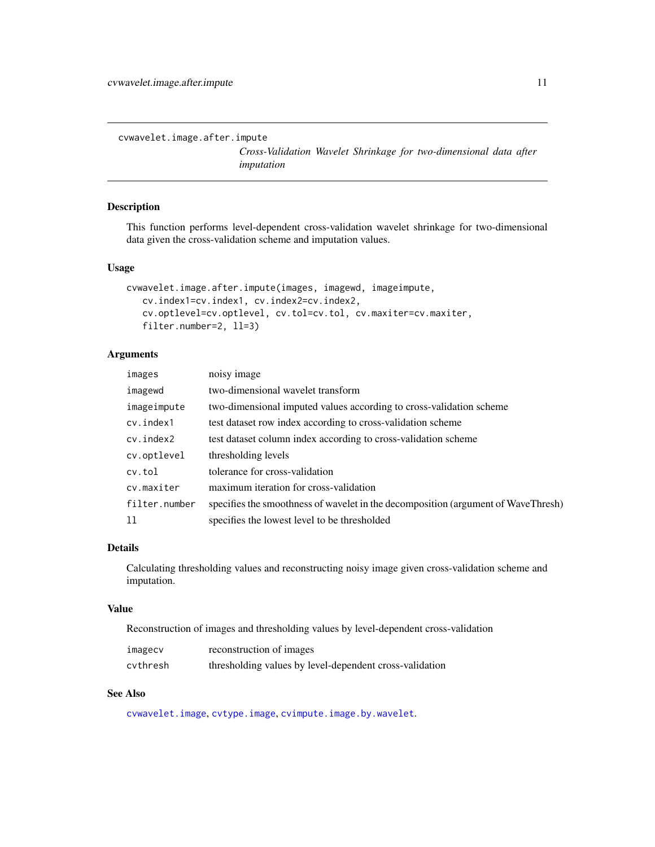<span id="page-10-1"></span><span id="page-10-0"></span>cvwavelet.image.after.impute

*Cross-Validation Wavelet Shrinkage for two-dimensional data after imputation*

# Description

This function performs level-dependent cross-validation wavelet shrinkage for two-dimensional data given the cross-validation scheme and imputation values.

#### Usage

```
cvwavelet.image.after.impute(images, imagewd, imageimpute,
   cv.index1=cv.index1, cv.index2=cv.index2,
   cv.optlevel=cv.optlevel, cv.tol=cv.tol, cv.maxiter=cv.maxiter,
   filter.number=2, ll=3)
```
# Arguments

| images        | noisy image                                                                       |
|---------------|-----------------------------------------------------------------------------------|
| imagewd       | two-dimensional wavelet transform                                                 |
| imageimpute   | two-dimensional imputed values according to cross-validation scheme               |
| cv.index1     | test dataset row index according to cross-validation scheme                       |
| cv.index2     | test dataset column index according to cross-validation scheme                    |
| cv.optlevel   | thresholding levels                                                               |
| cv.tol        | tolerance for cross-validation                                                    |
| cv.maxiter    | maximum iteration for cross-validation                                            |
| filter.number | specifies the smoothness of wavelet in the decomposition (argument of WaveThresh) |
| -11           | specifies the lowest level to be thresholded                                      |

#### Details

Calculating thresholding values and reconstructing noisy image given cross-validation scheme and imputation.

#### Value

Reconstruction of images and thresholding values by level-dependent cross-validation

| imagecv  | reconstruction of images                                |
|----------|---------------------------------------------------------|
| cvthresh | thresholding values by level-dependent cross-validation |

# See Also

[cvwavelet.image](#page-8-1), [cvtype.image](#page-5-1), [cvimpute.image.by.wavelet](#page-2-1).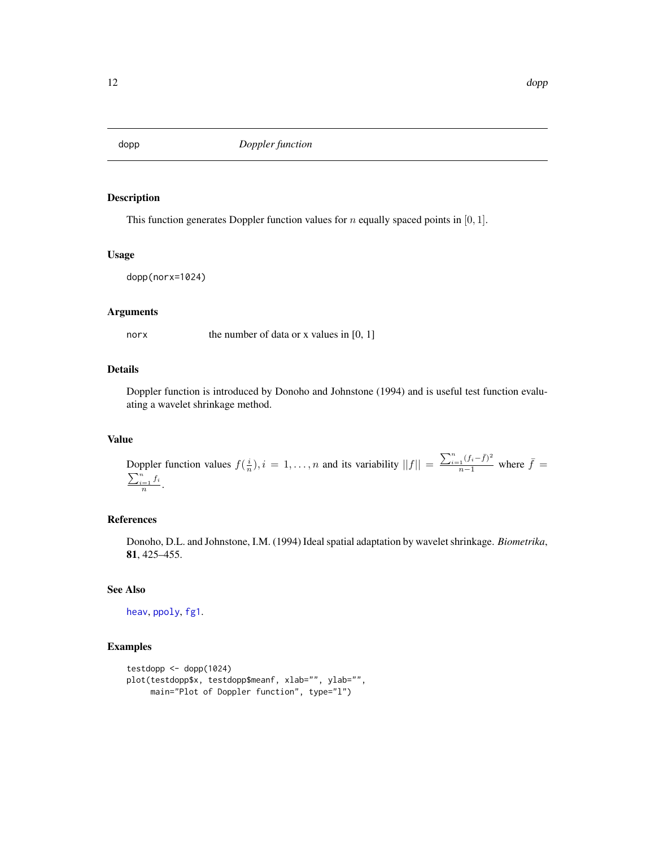<span id="page-11-1"></span><span id="page-11-0"></span>

This function generates Doppler function values for *n* equally spaced points in [0, 1].

## Usage

```
dopp(norx=1024)
```
# Arguments

norx the number of data or x values in [0, 1]

# Details

Doppler function is introduced by Donoho and Johnstone (1994) and is useful test function evaluating a wavelet shrinkage method.

#### Value

Doppler function values  $f(\frac{i}{n}), i = 1, ..., n$  and its variability  $||f|| = \frac{\sum_{i=1}^{n} (f_i - \bar{f})^2}{n-1}$  where  $\bar{f} = \frac{\sum_{i=1}^{n} (f_i - \bar{f})^2}{n-1}$  $\sum_{i=1}^n f_i$  $\frac{1}{n}$ .

# References

Donoho, D.L. and Johnstone, I.M. (1994) Ideal spatial adaptation by wavelet shrinkage. *Biometrika*, 81, 425–455.

# See Also

[heav](#page-13-1), [ppoly](#page-14-1), [fg1](#page-12-1).

```
testdopp <- dopp(1024)
plot(testdopp$x, testdopp$meanf, xlab="", ylab="",
     main="Plot of Doppler function", type="l")
```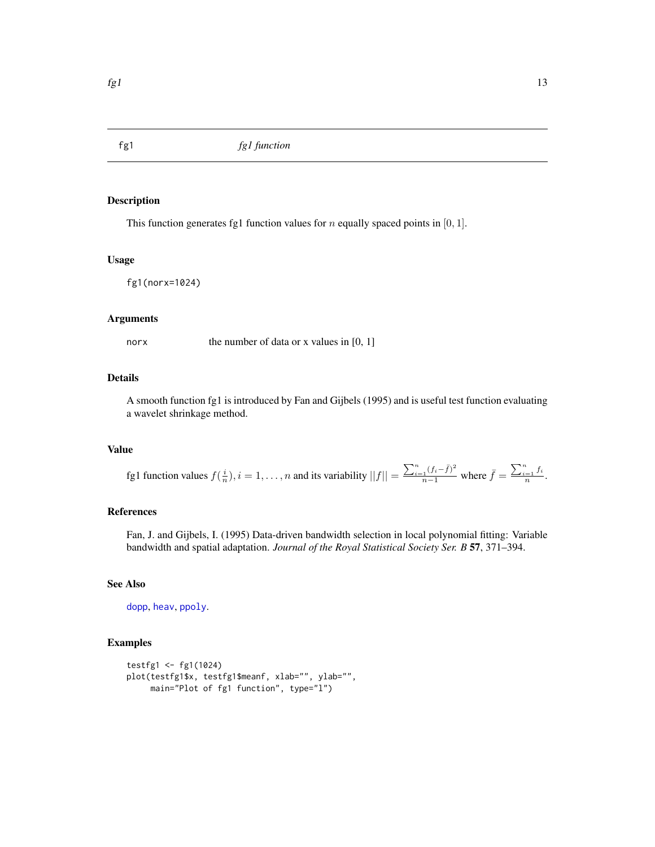<span id="page-12-1"></span><span id="page-12-0"></span>

This function generates fg1 function values for  $n$  equally spaced points in [0, 1].

#### Usage

fg1(norx=1024)

#### Arguments

norx the number of data or x values in [0, 1]

#### Details

A smooth function fg1 is introduced by Fan and Gijbels (1995) and is useful test function evaluating a wavelet shrinkage method.

# Value

fg1 function values  $f(\frac{i}{n}), i = 1, \ldots, n$  and its variability  $||f|| = \frac{\sum_{i=1}^{n} (f_i - \bar{f})^2}{n-1}$  where  $\bar{f} = \frac{\sum_{i=1}^{n} f_i}{n}$  $\frac{=1}n^{\frac{J\,t}{l}}$ .

# References

Fan, J. and Gijbels, I. (1995) Data-driven bandwidth selection in local polynomial fitting: Variable bandwidth and spatial adaptation. *Journal of the Royal Statistical Society Ser. B* 57, 371–394.

# See Also

[dopp](#page-11-1), [heav](#page-13-1), [ppoly](#page-14-1).

```
testfg1 <- fg1(1024)
plot(testfg1$x, testfg1$meanf, xlab="", ylab="",
    main="Plot of fg1 function", type="l")
```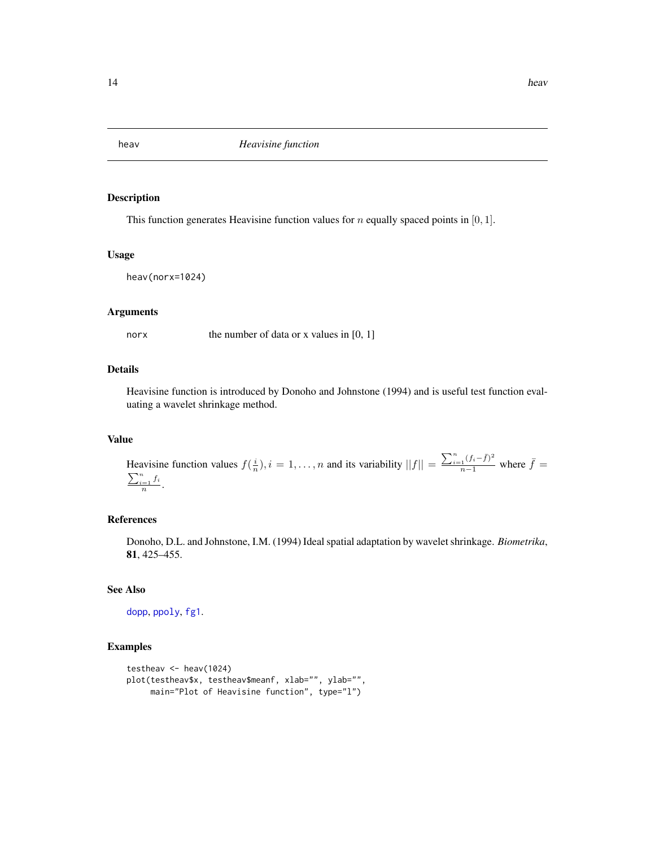<span id="page-13-1"></span><span id="page-13-0"></span>

This function generates Heavisine function values for  $n$  equally spaced points in [0, 1].

#### Usage

```
heav(norx=1024)
```
# Arguments

norx the number of data or x values in [0, 1]

# Details

Heavisine function is introduced by Donoho and Johnstone (1994) and is useful test function evaluating a wavelet shrinkage method.

# Value

Heavisine function values  $f(\frac{i}{n}), i = 1, ..., n$  and its variability  $||f|| = \frac{\sum_{i=1}^{n} (f_i - \bar{f})^2}{n-1}$  where  $\bar{f} = \frac{\sum_{i=1}^{n} (f_i - \bar{f})^2}{n-1}$  $\sum_{i=1}^n f_i$  $\frac{1}{n}$ .

# References

Donoho, D.L. and Johnstone, I.M. (1994) Ideal spatial adaptation by wavelet shrinkage. *Biometrika*, 81, 425–455.

# See Also

[dopp](#page-11-1), [ppoly](#page-14-1), [fg1](#page-12-1).

```
testheav <- heav(1024)
plot(testheav$x, testheav$meanf, xlab="", ylab="",
     main="Plot of Heavisine function", type="l")
```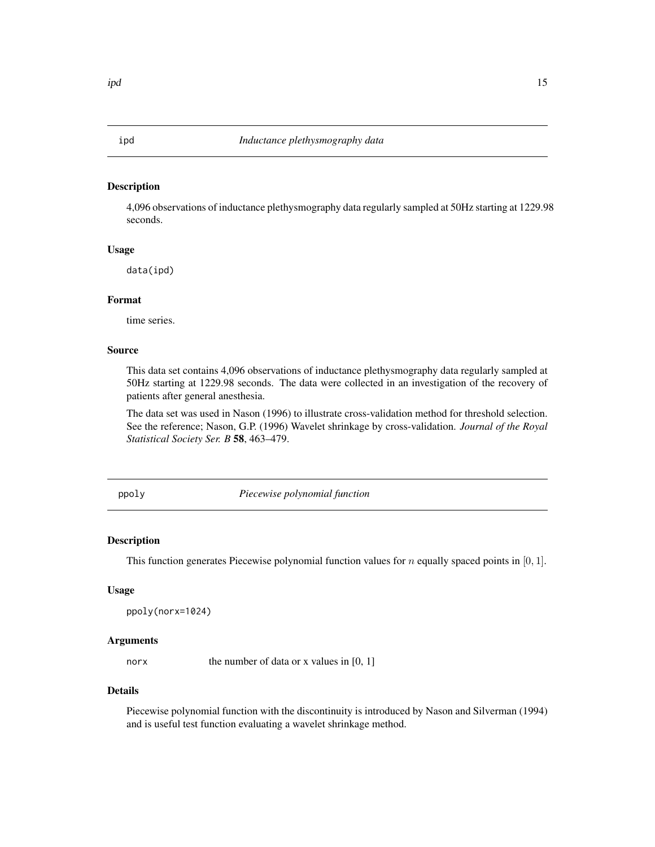<span id="page-14-0"></span>4,096 observations of inductance plethysmography data regularly sampled at 50Hz starting at 1229.98 seconds.

#### Usage

data(ipd)

# Format

time series.

# Source

This data set contains 4,096 observations of inductance plethysmography data regularly sampled at 50Hz starting at 1229.98 seconds. The data were collected in an investigation of the recovery of patients after general anesthesia.

The data set was used in Nason (1996) to illustrate cross-validation method for threshold selection. See the reference; Nason, G.P. (1996) Wavelet shrinkage by cross-validation. *Journal of the Royal Statistical Society Ser. B* 58, 463–479.

<span id="page-14-1"></span>ppoly *Piecewise polynomial function*

# Description

This function generates Piecewise polynomial function values for n equally spaced points in [0, 1].

#### Usage

ppoly(norx=1024)

#### Arguments

norx the number of data or x values in [0, 1]

#### Details

Piecewise polynomial function with the discontinuity is introduced by Nason and Silverman (1994) and is useful test function evaluating a wavelet shrinkage method.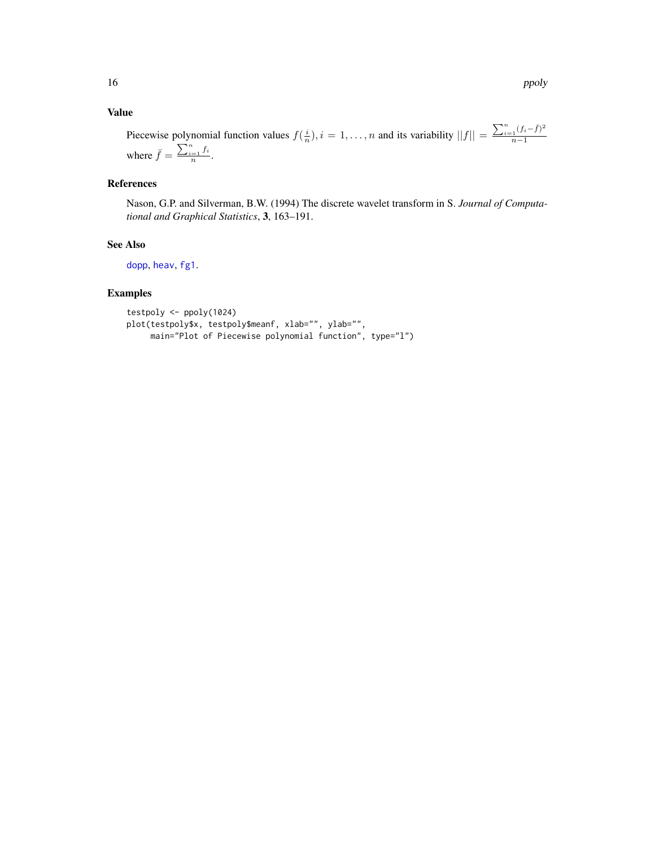# <span id="page-15-0"></span>Value

Piecewise polynomial function values  $f(\frac{i}{n}), i = 1, \ldots, n$  and its variability  $||f|| = \frac{\sum_{i=1}^{n} (f_i - \bar{f})^2}{n-1}$  $n-1$ where  $\bar{f} = \frac{\sum_{i=1}^{n} f_i}{n}$  $\frac{=1}n^{\frac{J\,i}{n}}$ .

# References

Nason, G.P. and Silverman, B.W. (1994) The discrete wavelet transform in S. *Journal of Computational and Graphical Statistics*, 3, 163–191.

# See Also

[dopp](#page-11-1), [heav](#page-13-1), [fg1](#page-12-1).

```
testpoly <- ppoly(1024)
plot(testpoly$x, testpoly$meanf, xlab="", ylab="",
    main="Plot of Piecewise polynomial function", type="l")
```